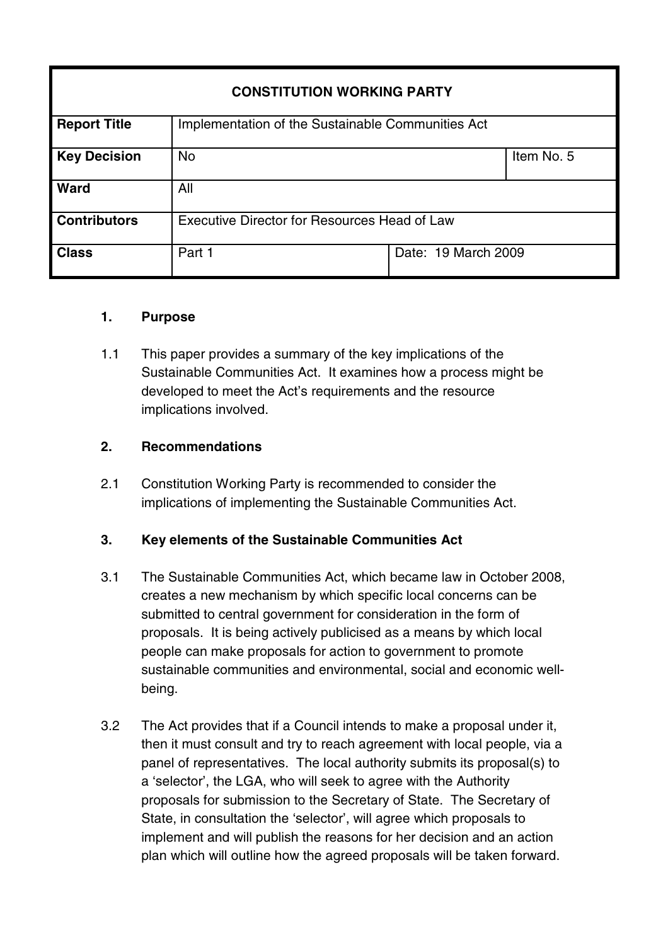# **CONSTITUTION WORKING PARTY Report Title** Implementation of the Sustainable Communities Act **Key Decision** No Item No. 5 Ward **All Contributors** Executive Director for Resources Head of Law **Class** Part 1 Date: 19 March 2009

## **1. Purpose**

1.1 This paper provides a summary of the key implications of the Sustainable Communities Act. It examines how a process might be developed to meet the Act's requirements and the resource implications involved.

## **2. Recommendations**

2.1 Constitution Working Party is recommended to consider the implications of implementing the Sustainable Communities Act.

## **3. Key elements of the Sustainable Communities Act**

- 3.1 The Sustainable Communities Act, which became law in October 2008, creates a new mechanism by which specific local concerns can be submitted to central government for consideration in the form of proposals. It is being actively publicised as a means by which local people can make proposals for action to government to promote sustainable communities and environmental, social and economic wellbeing.
- 3.2 The Act provides that if a Council intends to make a proposal under it, then it must consult and try to reach agreement with local people, via a panel of representatives. The local authority submits its proposal(s) to a 'selector', the LGA, who will seek to agree with the Authority proposals for submission to the Secretary of State. The Secretary of State, in consultation the 'selector', will agree which proposals to implement and will publish the reasons for her decision and an action plan which will outline how the agreed proposals will be taken forward.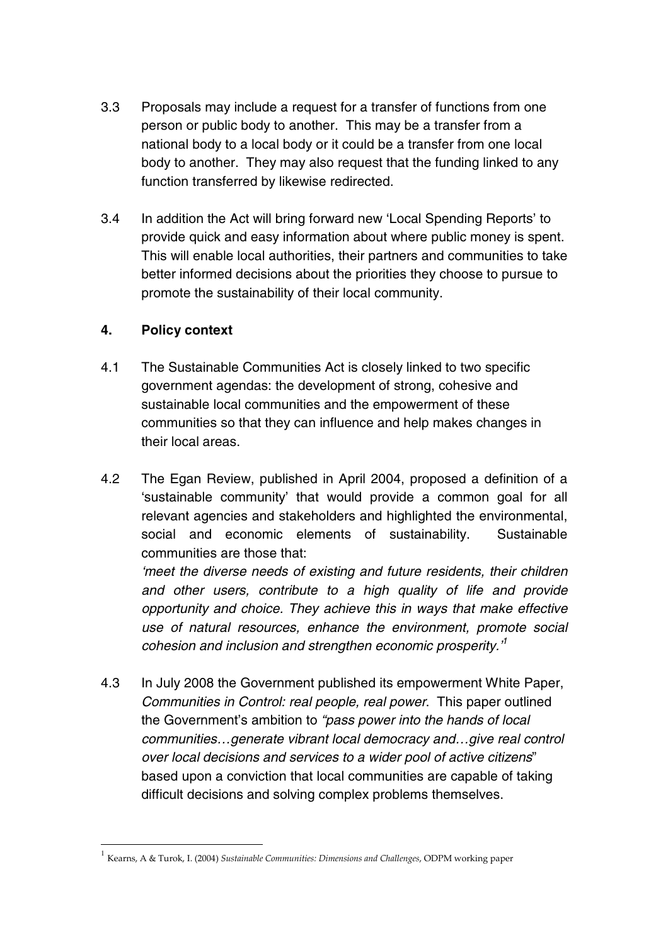- 3.3 Proposals may include a request for a transfer of functions from one person or public body to another. This may be a transfer from a national body to a local body or it could be a transfer from one local body to another. They may also request that the funding linked to any function transferred by likewise redirected.
- 3.4 In addition the Act will bring forward new 'Local Spending Reports' to provide quick and easy information about where public money is spent. This will enable local authorities, their partners and communities to take better informed decisions about the priorities they choose to pursue to promote the sustainability of their local community.

## **4. Policy context**

- 4.1 The Sustainable Communities Act is closely linked to two specific government agendas: the development of strong, cohesive and sustainable local communities and the empowerment of these communities so that they can influence and help makes changes in their local areas.
- 4.2 The Egan Review, published in April 2004, proposed a definition of a 'sustainable community' that would provide a common goal for all relevant agencies and stakeholders and highlighted the environmental, social and economic elements of sustainability. Sustainable communities are those that:

'meet the diverse needs of existing and future residents, their children and other users, contribute to a high quality of life and provide opportunity and choice. They achieve this in ways that make effective use of natural resources, enhance the environment, promote social cohesion and inclusion and strengthen economic prosperity.' 1

4.3 In July 2008 the Government published its empowerment White Paper, Communities in Control: real people, real power. This paper outlined the Government's ambition to "pass power into the hands of local communities…generate vibrant local democracy and…give real control over local decisions and services to a wider pool of active citizens" based upon a conviction that local communities are capable of taking difficult decisions and solving complex problems themselves.

<sup>1</sup> Kearns, A & Turok, I. (2004) *Sustainable Communities: Dimensions and Challenges*, ODPM working paper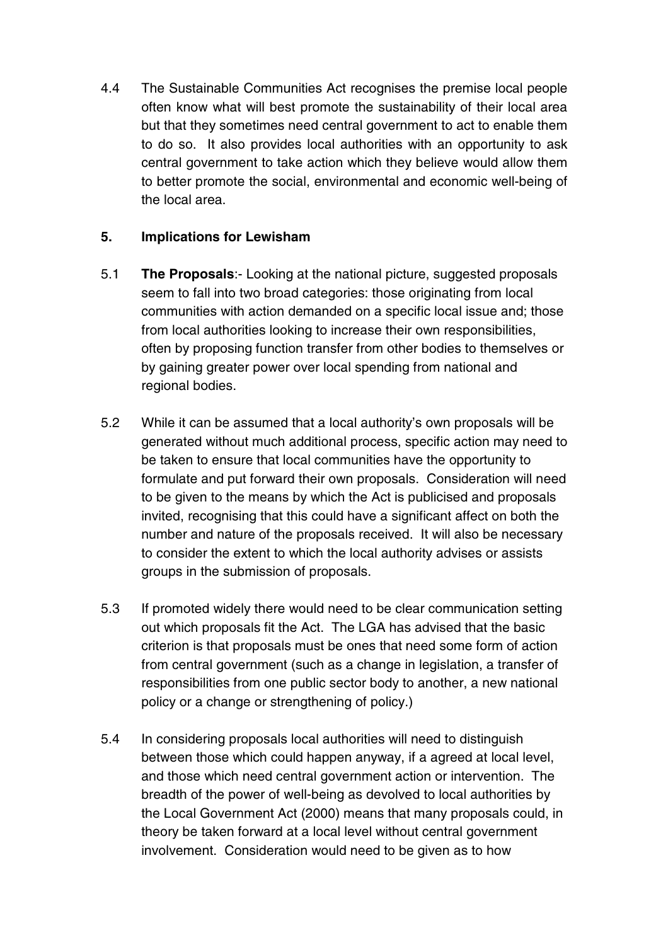4.4 The Sustainable Communities Act recognises the premise local people often know what will best promote the sustainability of their local area but that they sometimes need central government to act to enable them to do so. It also provides local authorities with an opportunity to ask central government to take action which they believe would allow them to better promote the social, environmental and economic well-being of the local area.

## **5. Implications for Lewisham**

- 5.1 **The Proposals**:- Looking at the national picture, suggested proposals seem to fall into two broad categories: those originating from local communities with action demanded on a specific local issue and; those from local authorities looking to increase their own responsibilities, often by proposing function transfer from other bodies to themselves or by gaining greater power over local spending from national and regional bodies.
- 5.2 While it can be assumed that a local authority's own proposals will be generated without much additional process, specific action may need to be taken to ensure that local communities have the opportunity to formulate and put forward their own proposals. Consideration will need to be given to the means by which the Act is publicised and proposals invited, recognising that this could have a significant affect on both the number and nature of the proposals received. It will also be necessary to consider the extent to which the local authority advises or assists groups in the submission of proposals.
- 5.3 If promoted widely there would need to be clear communication setting out which proposals fit the Act. The LGA has advised that the basic criterion is that proposals must be ones that need some form of action from central government (such as a change in legislation, a transfer of responsibilities from one public sector body to another, a new national policy or a change or strengthening of policy.)
- 5.4 In considering proposals local authorities will need to distinguish between those which could happen anyway, if a agreed at local level, and those which need central government action or intervention. The breadth of the power of well-being as devolved to local authorities by the Local Government Act (2000) means that many proposals could, in theory be taken forward at a local level without central government involvement. Consideration would need to be given as to how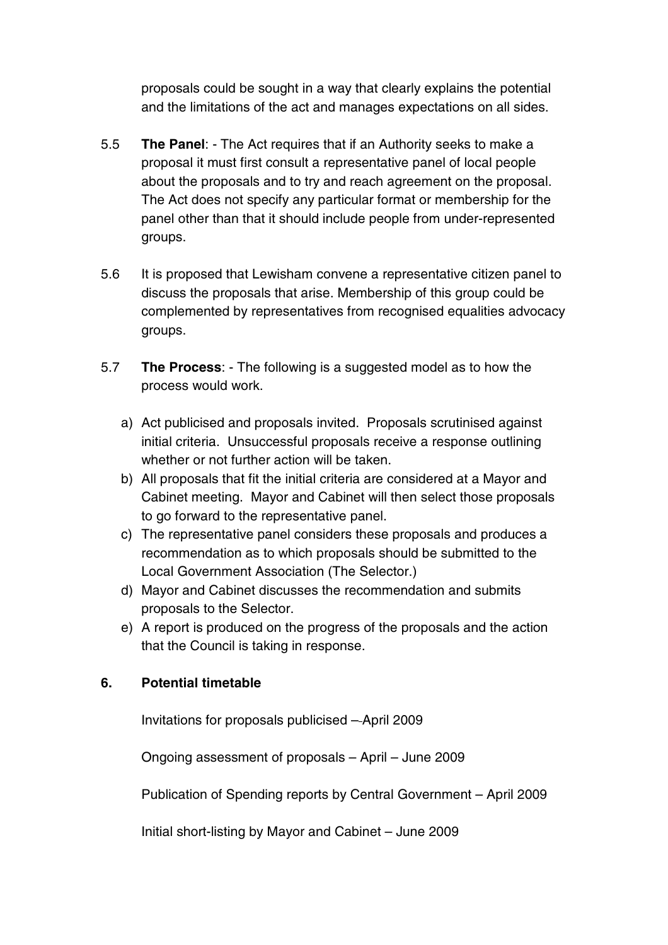proposals could be sought in a way that clearly explains the potential and the limitations of the act and manages expectations on all sides.

- 5.5 **The Panel**: The Act requires that if an Authority seeks to make a proposal it must first consult a representative panel of local people about the proposals and to try and reach agreement on the proposal. The Act does not specify any particular format or membership for the panel other than that it should include people from under-represented groups.
- 5.6 It is proposed that Lewisham convene a representative citizen panel to discuss the proposals that arise. Membership of this group could be complemented by representatives from recognised equalities advocacy groups.
- 5.7 **The Process**: The following is a suggested model as to how the process would work.
	- a) Act publicised and proposals invited. Proposals scrutinised against initial criteria. Unsuccessful proposals receive a response outlining whether or not further action will be taken.
	- b) All proposals that fit the initial criteria are considered at a Mayor and Cabinet meeting. Mayor and Cabinet will then select those proposals to go forward to the representative panel.
	- c) The representative panel considers these proposals and produces a recommendation as to which proposals should be submitted to the Local Government Association (The Selector.)
	- d) Mayor and Cabinet discusses the recommendation and submits proposals to the Selector.
	- e) A report is produced on the progress of the proposals and the action that the Council is taking in response.

## **6. Potential timetable**

Invitations for proposals publicised – April 2009

Ongoing assessment of proposals – April – June 2009

Publication of Spending reports by Central Government – April 2009

Initial short-listing by Mayor and Cabinet – June 2009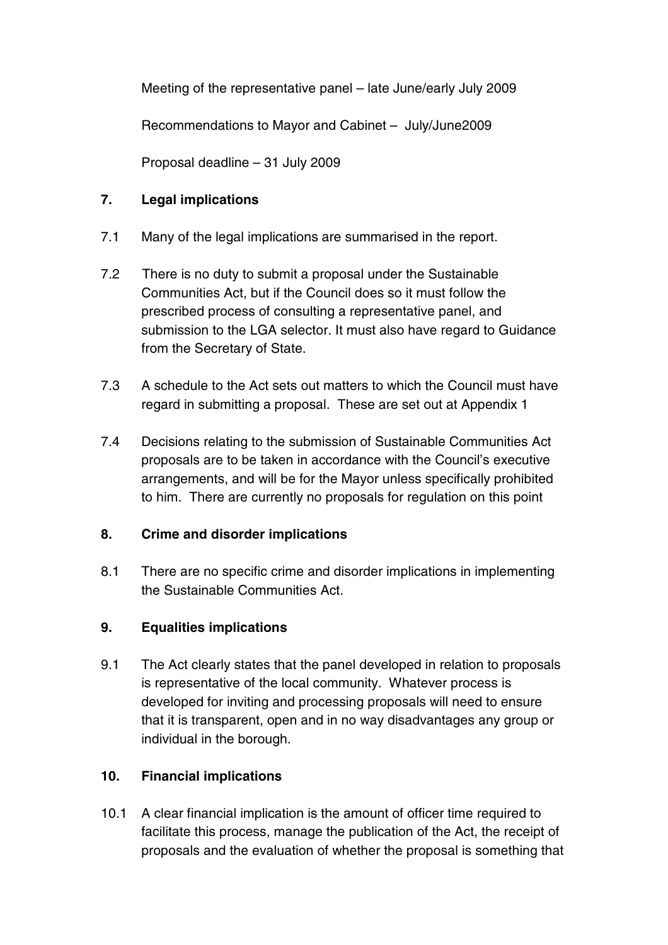Meeting of the representative panel – late June/early July 2009

Recommendations to Mayor and Cabinet – July/June2009

Proposal deadline – 31 July 2009

## **7. Legal implications**

- 7.1 Many of the legal implications are summarised in the report.
- 7.2 There is no duty to submit a proposal under the Sustainable Communities Act, but if the Council does so it must follow the prescribed process of consulting a representative panel, and submission to the LGA selector. It must also have regard to Guidance from the Secretary of State.
- 7.3 A schedule to the Act sets out matters to which the Council must have regard in submitting a proposal. These are set out at Appendix 1
- 7.4 Decisions relating to the submission of Sustainable Communities Act proposals are to be taken in accordance with the Council's executive arrangements, and will be for the Mayor unless specifically prohibited to him. There are currently no proposals for regulation on this point

## **8. Crime and disorder implications**

8.1 There are no specific crime and disorder implications in implementing the Sustainable Communities Act.

## **9. Equalities implications**

9.1 The Act clearly states that the panel developed in relation to proposals is representative of the local community. Whatever process is developed for inviting and processing proposals will need to ensure that it is transparent, open and in no way disadvantages any group or individual in the borough.

## **10. Financial implications**

10.1 A clear financial implication is the amount of officer time required to facilitate this process, manage the publication of the Act, the receipt of proposals and the evaluation of whether the proposal is something that